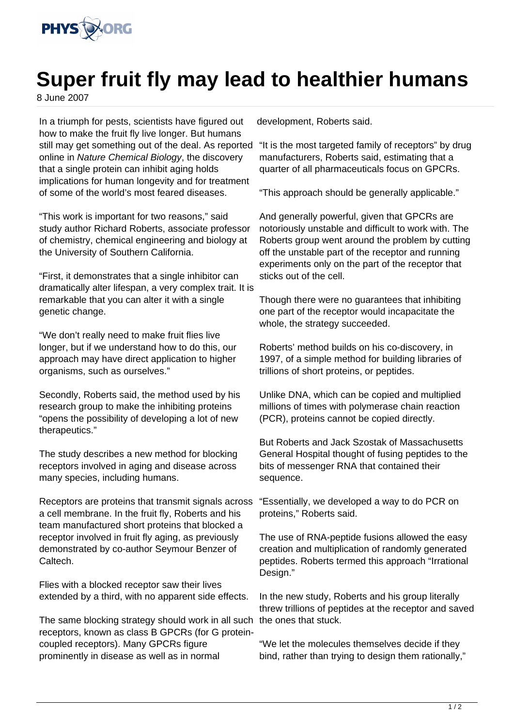

## **Super fruit fly may lead to healthier humans**

8 June 2007

In a triumph for pests, scientists have figured out how to make the fruit fly live longer. But humans still may get something out of the deal. As reported online in Nature Chemical Biology, the discovery that a single protein can inhibit aging holds implications for human longevity and for treatment of some of the world's most feared diseases.

"This work is important for two reasons," said study author Richard Roberts, associate professor of chemistry, chemical engineering and biology at the University of Southern California.

"First, it demonstrates that a single inhibitor can dramatically alter lifespan, a very complex trait. It is remarkable that you can alter it with a single genetic change.

"We don't really need to make fruit flies live longer, but if we understand how to do this, our approach may have direct application to higher organisms, such as ourselves."

Secondly, Roberts said, the method used by his research group to make the inhibiting proteins "opens the possibility of developing a lot of new therapeutics."

The study describes a new method for blocking receptors involved in aging and disease across many species, including humans.

Receptors are proteins that transmit signals across a cell membrane. In the fruit fly, Roberts and his team manufactured short proteins that blocked a receptor involved in fruit fly aging, as previously demonstrated by co-author Seymour Benzer of Caltech.

Flies with a blocked receptor saw their lives extended by a third, with no apparent side effects.

The same blocking strategy should work in all such receptors, known as class B GPCRs (for G proteincoupled receptors). Many GPCRs figure prominently in disease as well as in normal

development, Roberts said.

"It is the most targeted family of receptors" by drug manufacturers, Roberts said, estimating that a quarter of all pharmaceuticals focus on GPCRs.

"This approach should be generally applicable."

And generally powerful, given that GPCRs are notoriously unstable and difficult to work with. The Roberts group went around the problem by cutting off the unstable part of the receptor and running experiments only on the part of the receptor that sticks out of the cell.

Though there were no guarantees that inhibiting one part of the receptor would incapacitate the whole, the strategy succeeded.

Roberts' method builds on his co-discovery, in 1997, of a simple method for building libraries of trillions of short proteins, or peptides.

Unlike DNA, which can be copied and multiplied millions of times with polymerase chain reaction (PCR), proteins cannot be copied directly.

But Roberts and Jack Szostak of Massachusetts General Hospital thought of fusing peptides to the bits of messenger RNA that contained their sequence.

"Essentially, we developed a way to do PCR on proteins," Roberts said.

The use of RNA-peptide fusions allowed the easy creation and multiplication of randomly generated peptides. Roberts termed this approach "Irrational Design."

In the new study, Roberts and his group literally threw trillions of peptides at the receptor and saved the ones that stuck.

"We let the molecules themselves decide if they bind, rather than trying to design them rationally,"